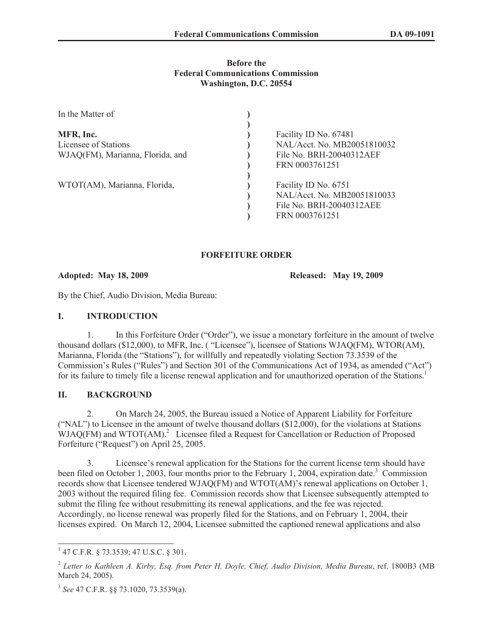### **Before the Federal Communications Commission Washington, D.C. 20554**

| In the Matter of                 |                             |
|----------------------------------|-----------------------------|
|                                  |                             |
| MFR, Inc.                        | Facility ID No. 67481       |
| Licensee of Stations             | NAL/Acct. No. MB20051810032 |
| WJAQ(FM), Marianna, Florida, and | File No. BRH-20040312AEF    |
|                                  | FRN 0003761251              |
|                                  |                             |
| WTOT(AM), Marianna, Florida,     | Facility ID No. 6751        |
|                                  | NAL/Acct. No. MB20051810033 |
|                                  | File No. BRH-20040312AEE    |
|                                  | FRN 0003761251              |

# **FORFEITURE ORDER**

**Adopted: May 18, 2009 Released: May 19, 2009**

By the Chief, Audio Division, Media Bureau:

## **I. INTRODUCTION**

1. In this Forfeiture Order ("Order"), we issue a monetary forfeiture in the amount of twelve thousand dollars (\$12,000), to MFR, Inc. ( "Licensee"), licensee of Stations WJAQ(FM), WTOR(AM), Marianna, Florida (the "Stations"), for willfully and repeatedly violating Section 73.3539 of the Commission's Rules ("Rules") and Section 301 of the Communications Act of 1934, as amended ("Act") for its failure to timely file a license renewal application and for unauthorized operation of the Stations.<sup>1</sup>

# **II. BACKGROUND**

2. On March 24, 2005, the Bureau issued a Notice of Apparent Liability for Forfeiture ("NAL") to Licensee in the amount of twelve thousand dollars (\$12,000), for the violations at Stations WJAQ(FM) and WTOT(AM).<sup>2</sup> Licensee filed a Request for Cancellation or Reduction of Proposed Forfeiture ("Request") on April 25, 2005.

3. Licensee's renewal application for the Stations for the current license term should have been filed on October 1, 2003, four months prior to the February 1, 2004, expiration date.<sup>3</sup> Commission records show that Licensee tendered WJAQ(FM) and WTOT(AM)'s renewal applications on October 1, 2003 without the required filing fee. Commission records show that Licensee subsequently attempted to submit the filing fee without resubmitting its renewal applications, and the fee was rejected. Accordingly, no license renewal was properly filed for the Stations, and on February 1, 2004, their licenses expired. On March 12, 2004, Licensee submitted the captioned renewal applications and also

<sup>1</sup> 47 C.F.R. § 73.3539; 47 U.S.C. § 301.

<sup>2</sup> *Letter to Kathleen A. Kirby, Esq. from Peter H. Doyle, Chief, Audio Division, Media Bureau*, ref. 1800B3 (MB March 24, 2005).

<sup>3</sup> *See* 47 C.F.R. §§ 73.1020, 73.3539(a).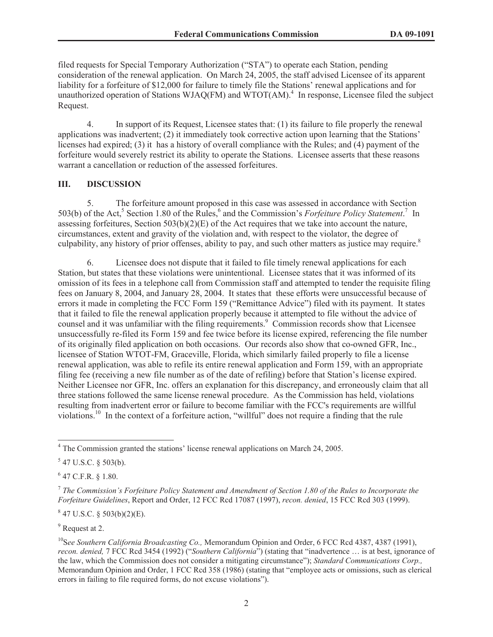filed requests for Special Temporary Authorization ("STA") to operate each Station, pending consideration of the renewal application. On March 24, 2005, the staff advised Licensee of its apparent liability for a forfeiture of \$12,000 for failure to timely file the Stations' renewal applications and for unauthorized operation of Stations WJAQ(FM) and WTOT(AM).<sup>4</sup> In response, Licensee filed the subject Request.

4. In support of its Request, Licensee states that: (1) its failure to file properly the renewal applications was inadvertent; (2) it immediately took corrective action upon learning that the Stations' licenses had expired; (3) it has a history of overall compliance with the Rules; and (4) payment of the forfeiture would severely restrict its ability to operate the Stations. Licensee asserts that these reasons warrant a cancellation or reduction of the assessed forfeitures.

#### **III. DISCUSSION**

5. The forfeiture amount proposed in this case was assessed in accordance with Section 503(b) of the Act,<sup>5</sup> Section 1.80 of the Rules,<sup>6</sup> and the Commission's *Forfeiture Policy Statement*.<sup>7</sup> In assessing forfeitures, Section 503(b)(2)(E) of the Act requires that we take into account the nature, circumstances, extent and gravity of the violation and, with respect to the violator, the degree of culpability, any history of prior offenses, ability to pay, and such other matters as justice may require.<sup>8</sup>

6. Licensee does not dispute that it failed to file timely renewal applications for each Station, but states that these violations were unintentional. Licensee states that it was informed of its omission of its fees in a telephone call from Commission staff and attempted to tender the requisite filing fees on January 8, 2004, and January 28, 2004. It states that these efforts were unsuccessful because of errors it made in completing the FCC Form 159 ("Remittance Advice") filed with its payment. It states that it failed to file the renewal application properly because it attempted to file without the advice of counsel and it was unfamiliar with the filing requirements.<sup>9</sup> Commission records show that Licensee unsuccessfully re-filed its Form 159 and fee twice before its license expired, referencing the file number of its originally filed application on both occasions. Our records also show that co-owned GFR, Inc., licensee of Station WTOT-FM, Graceville, Florida, which similarly failed properly to file a license renewal application, was able to refile its entire renewal application and Form 159, with an appropriate filing fee (receiving a new file number as of the date of refiling) before that Station's license expired. Neither Licensee nor GFR, Inc. offers an explanation for this discrepancy, and erroneously claim that all three stations followed the same license renewal procedure. As the Commission has held, violations resulting from inadvertent error or failure to become familiar with the FCC's requirements are willful violations.<sup>10</sup> In the context of a forfeiture action, "willful" does not require a finding that the rule

 $6$  47 C.F.R. § 1.80.

 $847$  U.S.C. § 503(b)(2)(E).

<sup>9</sup> Request at 2.

<sup>4</sup> The Commission granted the stations' license renewal applications on March 24, 2005.

 $547$  U.S.C. § 503(b).

<sup>7</sup> *The Commission's Forfeiture Policy Statement and Amendment of Section 1.80 of the Rules to Incorporate the Forfeiture Guidelines*, Report and Order, 12 FCC Rcd 17087 (1997), *recon. denied*, 15 FCC Rcd 303 (1999).

<sup>&</sup>lt;sup>10</sup>See Southern California Broadcasting Co., Memorandum Opinion and Order, 6 FCC Rcd 4387, 4387 (1991), *recon. denied,* 7 FCC Rcd 3454 (1992) ("*Southern California*") (stating that "inadvertence … is at best, ignorance of the law, which the Commission does not consider a mitigating circumstance"); *Standard Communications Corp.,*  Memorandum Opinion and Order, 1 FCC Rcd 358 (1986) (stating that "employee acts or omissions, such as clerical errors in failing to file required forms, do not excuse violations").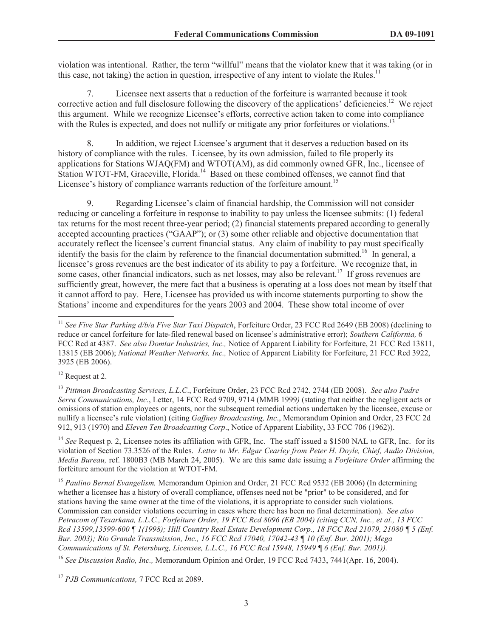violation was intentional. Rather, the term "willful" means that the violator knew that it was taking (or in this case, not taking) the action in question, irrespective of any intent to violate the Rules.<sup>11</sup>

7. Licensee next asserts that a reduction of the forfeiture is warranted because it took corrective action and full disclosure following the discovery of the applications' deficiencies.<sup>12</sup> We reject this argument. While we recognize Licensee's efforts, corrective action taken to come into compliance with the Rules is expected, and does not nullify or mitigate any prior forfeitures or violations.<sup>13</sup>

8. In addition, we reject Licensee's argument that it deserves a reduction based on its history of compliance with the rules. Licensee, by its own admission, failed to file properly its applications for Stations WJAQ(FM) and WTOT(AM), as did commonly owned GFR, Inc., licensee of Station WTOT-FM, Graceville, Florida.<sup>14</sup> Based on these combined offenses, we cannot find that Licensee's history of compliance warrants reduction of the forfeiture amount.<sup>15</sup>

9. Regarding Licensee's claim of financial hardship, the Commission will not consider reducing or canceling a forfeiture in response to inability to pay unless the licensee submits: (1) federal tax returns for the most recent three-year period; (2) financial statements prepared according to generally accepted accounting practices ("GAAP"); or (3) some other reliable and objective documentation that accurately reflect the licensee's current financial status. Any claim of inability to pay must specifically identify the basis for the claim by reference to the financial documentation submitted.<sup>16</sup> In general, a licensee's gross revenues are the best indicator of its ability to pay a forfeiture. We recognize that, in some cases, other financial indicators, such as net losses, may also be relevant.<sup>17</sup> If gross revenues are sufficiently great, however, the mere fact that a business is operating at a loss does not mean by itself that it cannot afford to pay. Here, Licensee has provided us with income statements purporting to show the Stations' income and expenditures for the years 2003 and 2004. These show total income of over

<sup>12</sup> Request at 2.

<sup>13</sup> *Pittman Broadcasting Services, L.L.C*., Forfeiture Order, 23 FCC Rcd 2742, 2744 (EB 2008). *See also Padre Serra Communications, Inc.*, Letter, 14 FCC Rcd 9709, 9714 (MMB 1999*)* (stating that neither the negligent acts or omissions of station employees or agents, nor the subsequent remedial actions undertaken by the licensee, excuse or nullify a licensee's rule violation) (citing *Gaffney Broadcasting, Inc*., Memorandum Opinion and Order, 23 FCC 2d 912, 913 (1970) and *Eleven Ten Broadcasting Corp*., Notice of Apparent Liability, 33 FCC 706 (1962)).

<sup>14</sup> See Request p. 2, Licensee notes its affiliation with GFR, Inc. The staff issued a \$1500 NAL to GFR, Inc. for its violation of Section 73.3526 of the Rules. *Letter to Mr. Edgar Cearley from Peter H. Doyle, Chief, Audio Division, Media Bureau,* ref. 1800B3 (MB March 24, 2005). We are this same date issuing a *Forfeiture Order* affirming the forfeiture amount for the violation at WTOT-FM.

<sup>15</sup> *Paulino Bernal Evangelism,* Memorandum Opinion and Order, 21 FCC Rcd 9532 (EB 2006) (In determining whether a licensee has a history of overall compliance, offenses need not be "prior" to be considered, and for stations having the same owner at the time of the violations, it is appropriate to consider such violations. Commission can consider violations occurring in cases where there has been no final determination). *See also Petracom of Texarkana, L.L.C., Forfeiture Order, 19 FCC Rcd 8096 (EB 2004) (citing CCN, Inc., et al., 13 FCC Rcd 13599,13599-600 ¶ 1(1998); Hill Country Real Estate Development Corp., 18 FCC Rcd 21079, 21080 ¶ 5 (Enf. Bur. 2003); Rio Grande Transmission, Inc., 16 FCC Rcd 17040, 17042-43 ¶ 10 (Enf. Bur. 2001); Mega Communications of St. Petersburg, Licensee, L.L.C., 16 FCC Rcd 15948, 15949 ¶ 6 (Enf. Bur. 2001)).*

<sup>16</sup> See Discussion Radio, Inc., Memorandum Opinion and Order, 19 FCC Rcd 7433, 7441(Apr. 16, 2004).

<sup>17</sup> *PJB Communications,* 7 FCC Rcd at 2089.

<sup>&</sup>lt;sup>11</sup> See Five Star Parking d/b/a Five Star Taxi Dispatch, Forfeiture Order, 23 FCC Rcd 2649 (EB 2008) (declining to reduce or cancel forfeiture for late-filed renewal based on licensee's administrative error); *Southern California,* 6 FCC Rcd at 4387. *See also Domtar Industries, Inc.,* Notice of Apparent Liability for Forfeiture, 21 FCC Rcd 13811, 13815 (EB 2006); *National Weather Networks, Inc.,* Notice of Apparent Liability for Forfeiture, 21 FCC Rcd 3922, 3925 (EB 2006).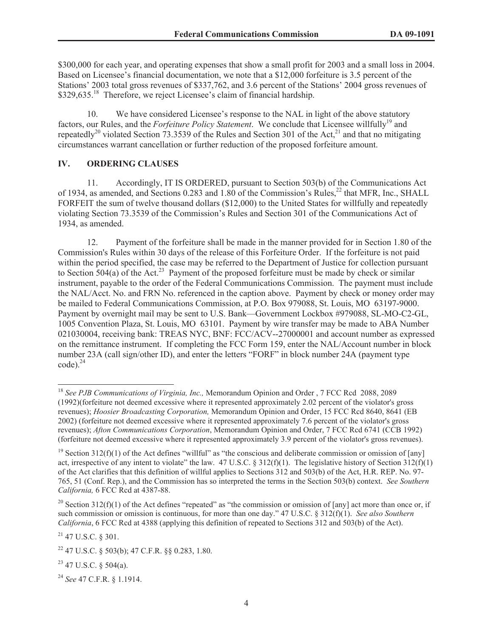\$300,000 for each year, and operating expenses that show a small profit for 2003 and a small loss in 2004. Based on Licensee's financial documentation, we note that a \$12,000 forfeiture is 3.5 percent of the Stations' 2003 total gross revenues of \$337,762, and 3.6 percent of the Stations' 2004 gross revenues of \$329,635.<sup>18</sup> Therefore, we reject Licensee's claim of financial hardship.

10. We have considered Licensee's response to the NAL in light of the above statutory factors, our Rules, and the *Forfeiture Policy Statement*. We conclude that Licensee willfully<sup>19</sup> and repeatedly<sup>20</sup> violated Section 73.3539 of the Rules and Section 301 of the Act,<sup>21</sup> and that no mitigating circumstances warrant cancellation or further reduction of the proposed forfeiture amount.

## **IV. ORDERING CLAUSES**

11. Accordingly, IT IS ORDERED, pursuant to Section 503(b) of the Communications Act of 1934, as amended, and Sections 0.283 and 1.80 of the Commission's Rules,<sup>22</sup> that MFR, Inc., SHALL FORFEIT the sum of twelve thousand dollars (\$12,000) to the United States for willfully and repeatedly violating Section 73.3539 of the Commission's Rules and Section 301 of the Communications Act of 1934, as amended.

12. Payment of the forfeiture shall be made in the manner provided for in Section 1.80 of the Commission's Rules within 30 days of the release of this Forfeiture Order. If the forfeiture is not paid within the period specified, the case may be referred to the Department of Justice for collection pursuant to Section 504(a) of the Act.<sup>23</sup> Payment of the proposed forfeiture must be made by check or similar instrument, payable to the order of the Federal Communications Commission. The payment must include the NAL/Acct. No. and FRN No. referenced in the caption above. Payment by check or money order may be mailed to Federal Communications Commission, at P.O. Box 979088, St. Louis, MO 63197-9000. Payment by overnight mail may be sent to U.S. Bank—Government Lockbox #979088, SL-MO-C2-GL, 1005 Convention Plaza, St. Louis, MO 63101. Payment by wire transfer may be made to ABA Number 021030004, receiving bank: TREAS NYC, BNF: FCC/ACV--27000001 and account number as expressed on the remittance instrument. If completing the FCC Form 159, enter the NAL/Account number in block number 23A (call sign/other ID), and enter the letters "FORF" in block number 24A (payment type  $code)$ <sup>24</sup>

<sup>20</sup> Section 312(f)(1) of the Act defines "repeated" as "the commission or omission of [any] act more than once or, if such commission or omission is continuous, for more than one day." 47 U.S.C. § 312(f)(1). *See also Southern California*, 6 FCC Rcd at 4388 (applying this definition of repeated to Sections 312 and 503(b) of the Act).

<sup>18</sup> *See PJB Communications of Virginia, Inc.,* Memorandum Opinion and Order , 7 FCC Rcd 2088, 2089 (1992)(forfeiture not deemed excessive where it represented approximately 2.02 percent of the violator's gross revenues); *Hoosier Broadcasting Corporation,* Memorandum Opinion and Order, 15 FCC Rcd 8640, 8641 (EB 2002) (forfeiture not deemed excessive where it represented approximately 7.6 percent of the violator's gross revenues); *Afton Communications Corporation*, Memorandum Opinion and Order, 7 FCC Rcd 6741 (CCB 1992) (forfeiture not deemed excessive where it represented approximately 3.9 percent of the violator's gross revenues).

<sup>&</sup>lt;sup>19</sup> Section 312(f)(1) of the Act defines "willful" as "the conscious and deliberate commission or omission of [any] act, irrespective of any intent to violate" the law. 47 U.S.C. § 312(f)(1). The legislative history of Section 312(f)(1) of the Act clarifies that this definition of willful applies to Sections 312 and 503(b) of the Act, H.R. REP. No. 97- 765, 51 (Conf. Rep.), and the Commission has so interpreted the terms in the Section 503(b) context. *See Southern California,* 6 FCC Rcd at 4387-88.

<sup>21</sup> 47 U.S.C. § 301.

<sup>22</sup> 47 U.S.C. § 503(b); 47 C.F.R. §§ 0.283, 1.80.

 $23$  47 U.S.C. § 504(a).

<sup>24</sup> *See* 47 C.F.R. § 1.1914.